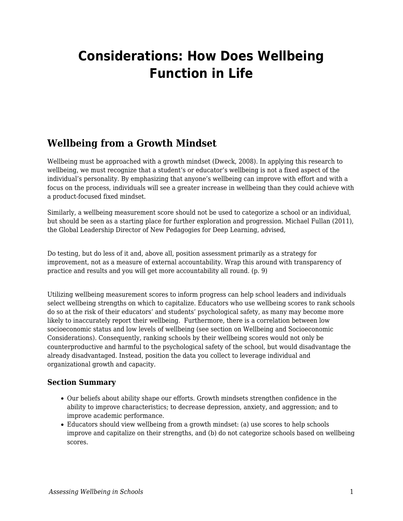# **Considerations: How Does Wellbeing Function in Life**

# **Wellbeing from a Growth Mindset**

Wellbeing must be approached with a growth mindset (Dweck, 2008). In applying this research to wellbeing, we must recognize that a student's or educator's wellbeing is not a fixed aspect of the individual's personality. By emphasizing that anyone's wellbeing can improve with effort and with a focus on the process, individuals will see a greater increase in wellbeing than they could achieve with a product-focused fixed mindset.

Similarly, a wellbeing measurement score should not be used to categorize a school or an individual, but should be seen as a starting place for further exploration and progression. Michael Fullan (2011), the Global Leadership Director of New Pedagogies for Deep Learning, advised,

Do testing, but do less of it and, above all, position assessment primarily as a strategy for improvement, not as a measure of external accountability. Wrap this around with transparency of practice and results and you will get more accountability all round. (p. 9)

Utilizing wellbeing measurement scores to inform progress can help school leaders and individuals select wellbeing strengths on which to capitalize. Educators who use wellbeing scores to rank schools do so at the risk of their educators' and students' psychological safety, as many may become more likely to inaccurately report their wellbeing. Furthermore, there is a correlation between low socioeconomic status and low levels of wellbeing (see section on Wellbeing and Socioeconomic Considerations). Consequently, ranking schools by their wellbeing scores would not only be counterproductive and harmful to the psychological safety of the school, but would disadvantage the already disadvantaged. Instead, position the data you collect to leverage individual and organizational growth and capacity.

## **Section Summary**

- Our beliefs about ability shape our efforts. Growth mindsets strengthen confidence in the ability to improve characteristics; to decrease depression, anxiety, and aggression; and to improve academic performance.
- Educators should view wellbeing from a growth mindset: (a) use scores to help schools improve and capitalize on their strengths, and (b) do not categorize schools based on wellbeing scores.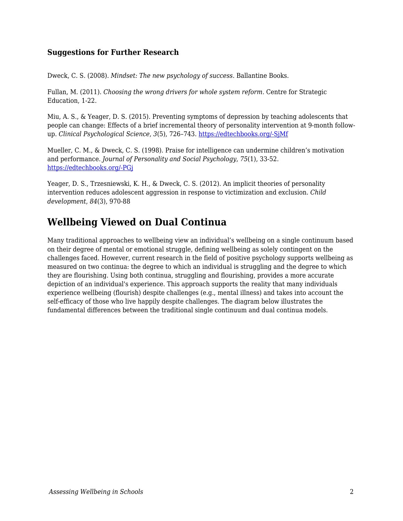### **Suggestions for Further Research**

Dweck, C. S. (2008). *Mindset: The new psychology of success*. Ballantine Books.

Fullan, M. (2011). *Choosing the wrong drivers for whole system reform*. Centre for Strategic Education, 1-22.

Miu, A. S., & Yeager, D. S. (2015). Preventing symptoms of depression by teaching adolescents that people can change: Effects of a brief incremental theory of personality intervention at 9-month followup. *Clinical Psychological Science*, *3*(5), 726–743. [https://edtechbooks.org/-SjMf](https://doi.org/10.1177/2167702614548317)

Mueller, C. M., & Dweck, C. S. (1998). Praise for intelligence can undermine children's motivation and performance. *Journal of Personality and Social Psychology*, *75*(1), 33-52. [https://edtechbooks.org/-PGj](https://edtechbooks.org/wellbeing/about:blank)

Yeager, D. S., Trzesniewski, K. H., & Dweck, C. S. (2012). An implicit theories of personality intervention reduces adolescent aggression in response to victimization and exclusion. *Child development*, *84*(3), 970-88

# **Wellbeing Viewed on Dual Continua**

Many traditional approaches to wellbeing view an individual's wellbeing on a single continuum based on their degree of mental or emotional struggle, defining wellbeing as solely contingent on the challenges faced. However, current research in the field of positive psychology supports wellbeing as measured on two continua: the degree to which an individual is struggling and the degree to which they are flourishing. Using both continua, struggling and flourishing, provides a more accurate depiction of an individual's experience. This approach supports the reality that many individuals experience wellbeing (flourish) despite challenges (e.g., mental illness) and takes into account the self-efficacy of those who live happily despite challenges. The diagram below illustrates the fundamental differences between the traditional single continuum and dual continua models.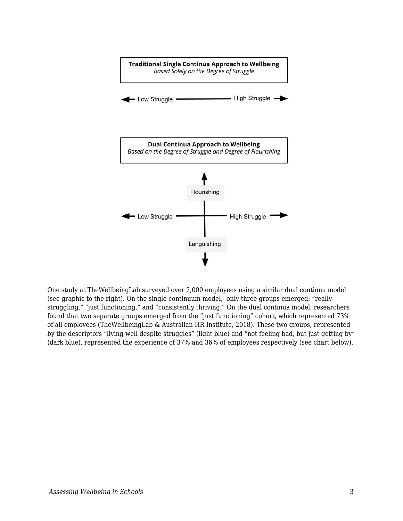

One study at TheWellbeingLab surveyed over 2,000 employees using a similar dual continua model (see graphic to the right). On the single continuum model, only three groups emerged: "really struggling," "just functioning," and "consistently thriving." On the dual continua model, researchers found that two separate groups emerged from the "just functioning" cohort, which represented 73% of all employees (TheWellbeingLab & Australian HR Institute, 2018). These two groups, represented by the descriptors "living well despite struggles" (light blue) and "not feeling bad, but just getting by" (dark blue), represented the experience of 37% and 36% of employees respectively (see chart below).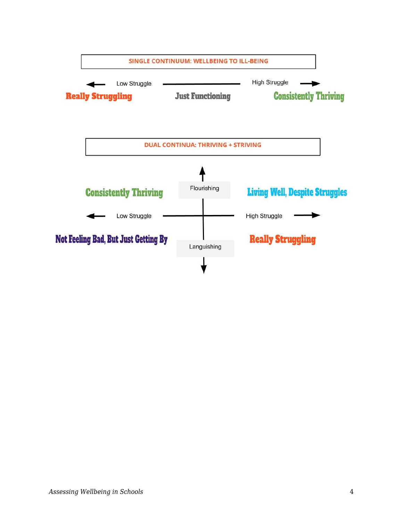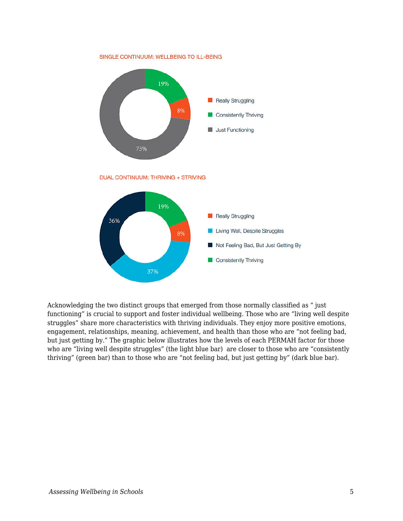SINGLE CONTINUUM: WELLBEING TO ILL-BEING



DUAL CONTINUUM: THRIVING + STRIVING



Acknowledging the two distinct groups that emerged from those normally classified as " just functioning" is crucial to support and foster individual wellbeing. Those who are "living well despite struggles" share more characteristics with thriving individuals. They enjoy more positive emotions, engagement, relationships, meaning, achievement, and health than those who are "not feeling bad, but just getting by." The graphic below illustrates how the levels of each PERMAH factor for those who are "living well despite struggles" (the light blue bar) are closer to those who are "consistently" thriving" (green bar) than to those who are "not feeling bad, but just getting by" (dark blue bar).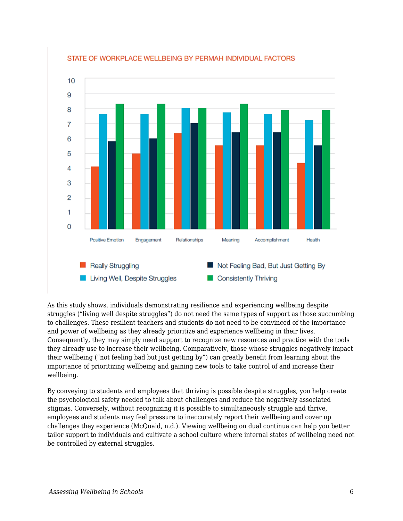

#### STATE OF WORKPLACE WELLBEING BY PERMAH INDIVIDUAL FACTORS

As this study shows, individuals demonstrating resilience and experiencing wellbeing despite struggles ("living well despite struggles") do not need the same types of support as those succumbing to challenges. These resilient teachers and students do not need to be convinced of the importance and power of wellbeing as they already prioritize and experience wellbeing in their lives. Consequently, they may simply need support to recognize new resources and practice with the tools they already use to increase their wellbeing. Comparatively, those whose struggles negatively impact their wellbeing ("not feeling bad but just getting by") can greatly benefit from learning about the importance of prioritizing wellbeing and gaining new tools to take control of and increase their wellbeing.

By conveying to students and employees that thriving is possible despite struggles, you help create the psychological safety needed to talk about challenges and reduce the negatively associated stigmas. Conversely, without recognizing it is possible to simultaneously struggle and thrive, employees and students may feel pressure to inaccurately report their wellbeing and cover up challenges they experience (McQuaid, n.d.). Viewing wellbeing on dual continua can help you better tailor support to individuals and cultivate a school culture where internal states of wellbeing need not be controlled by external struggles.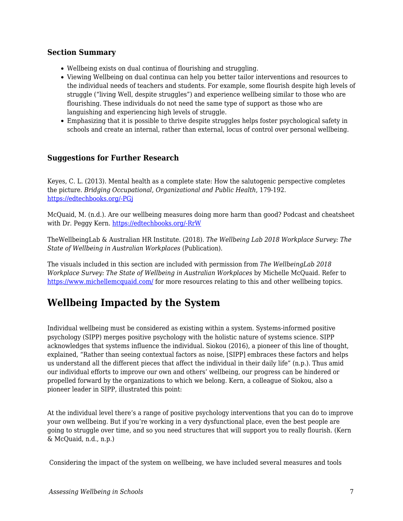### **Section Summary**

- Wellbeing exists on dual continua of flourishing and struggling.
- Viewing Wellbeing on dual continua can help you better tailor interventions and resources to the individual needs of teachers and students. For example, some flourish despite high levels of struggle ("living Well, despite struggles") and experience wellbeing similar to those who are flourishing. These individuals do not need the same type of support as those who are languishing and experiencing high levels of struggle.
- Emphasizing that it is possible to thrive despite struggles helps foster psychological safety in schools and create an internal, rather than external, locus of control over personal wellbeing.

## **Suggestions for Further Research**

Keyes, C. L. (2013). Mental health as a complete state: How the salutogenic perspective completes the picture. *Bridging Occupational, Organizational and Public Health*, 179-192. [https://edtechbooks.org/-PGj](https://edtechbooks.org/wellbeing/about:blank)

McQuaid, M. (n.d.). Are our wellbeing measures doing more harm than good? Podcast and cheatsheet with Dr. Peggy Kern. [https://edtechbooks.org/-RrW](https://www.michellemcquaid.com/podcast/wellbeing-measures-harm-good-podcast-peggy-kern/)

TheWellbeingLab & Australian HR Institute. (2018). *The Wellbeing Lab 2018 Workplace Survey: The State of Wellbeing in Australian Workplaces* (Publication).

The visuals included in this section are included with permission from *The WellbeingLab 2018 Workplace Survey: The State of Wellbeing in Australian Workplaces* by Michelle McQuaid. Refer to <https://www.michellemcquaid.com/> for more resources relating to this and other wellbeing topics.

# **Wellbeing Impacted by the System**

Individual wellbeing must be considered as existing within a system. Systems-informed positive psychology (SIPP) merges positive psychology with the holistic nature of systems science. SIPP acknowledges that systems influence the individual. Siokou (2016), a pioneer of this line of thought, explained, "Rather than seeing contextual factors as noise, [SIPP] embraces these factors and helps us understand all the different pieces that affect the individual in their daily life" (n.p.). Thus amid our individual efforts to improve our own and others' wellbeing, our progress can be hindered or propelled forward by the organizations to which we belong. Kern, a colleague of Siokou, also a pioneer leader in SIPP, illustrated this point:

At the individual level there's a range of positive psychology interventions that you can do to improve your own wellbeing. But if you're working in a very dysfunctional place, even the best people are going to struggle over time, and so you need structures that will support you to really flourish. (Kern & McQuaid, n.d., n.p.)

Considering the impact of the system on wellbeing, we have included several measures and tools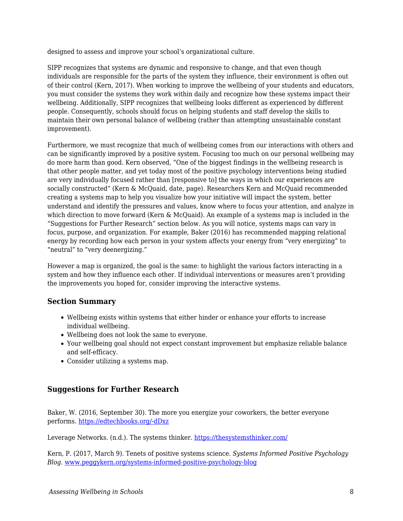designed to assess and improve your school's organizational culture.

SIPP recognizes that systems are dynamic and responsive to change, and that even though individuals are responsible for the parts of the system they influence, their environment is often out of their control (Kern, 2017). When working to improve the wellbeing of your students and educators, you must consider the systems they work within daily and recognize how these systems impact their wellbeing. Additionally, SIPP recognizes that wellbeing looks different as experienced by different people. Consequently, schools should focus on helping students and staff develop the skills to maintain their own personal balance of wellbeing (rather than attempting unsustainable constant improvement).

Furthermore, we must recognize that much of wellbeing comes from our interactions with others and can be significantly improved by a positive system. Focusing too much on our personal wellbeing may do more harm than good. Kern observed, "One of the biggest findings in the wellbeing research is that other people matter, and yet today most of the positive psychology interventions being studied are very individually focused rather than [responsive to] the ways in which our experiences are socially constructed" (Kern & McQuaid, date, page). Researchers Kern and McQuaid recommended creating a systems map to help you visualize how your initiative will impact the system, better understand and identify the pressures and values, know where to focus your attention, and analyze in which direction to move forward (Kern & McQuaid). An example of a systems map is included in the "Suggestions for Further Research" section below. As you will notice, systems maps can vary in focus, purpose, and organization. For example, Baker (2016) has recommended mapping relational energy by recording how each person in your system affects your energy from "very energizing" to "neutral" to "very deenergizing."

However a map is organized, the goal is the same: to highlight the various factors interacting in a system and how they influence each other. If individual interventions or measures aren't providing the improvements you hoped for, consider improving the interactive systems.

#### **Section Summary**

- Wellbeing exists within systems that either hinder or enhance your efforts to increase individual wellbeing.
- Wellbeing does not look the same to everyone.
- Your wellbeing goal should not expect constant improvement but emphasize reliable balance and self-efficacy.
- Consider utilizing a systems map.

#### **Suggestions for Further Research**

Baker, W. (2016, September 30). The more you energize your coworkers, the better everyone performs. [https://edtechbooks.org/-dDxz](https://hbr.org/2016/09/the-energy-you-give-off-at-work-matters)

Leverage Networks. (n.d.). The systems thinker.<https://thesystemsthinker.com/>

Kern, P. (2017, March 9). Tenets of positive systems science. *Systems Informed Positive Psychology Blog*. [www.peggykern.org/systems-informed-positive-psychology-blog](http://www.peggykern.org/systems-informed-positive-psychology-blog)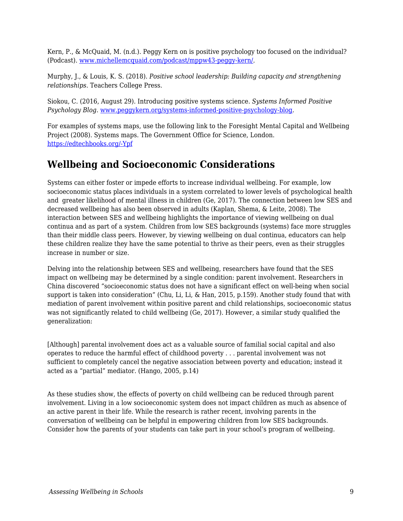Kern, P., & McQuaid, M. (n.d.). Peggy Kern on is positive psychology too focused on the individual? (Podcast). [www.michellemcquaid.com/podcast/mppw43-peggy-kern/.](http://www.michellemcquaid.com/podcast/mppw43-peggy-kern/)

Murphy, J., & Louis, K. S. (2018). *Positive school leadership: Building capacity and strengthening relationships*. Teachers College Press.

Siokou, C. (2016, August 29). Introducing positive systems science. *Systems Informed Positive Psychology Blog*. [www.peggykern.org/systems-informed-positive-psychology-blog](http://www.peggykern.org/systems-informed-positive-psychology-blog).

For examples of systems maps, use the following link to the Foresight Mental Capital and Wellbeing Project (2008). Systems maps. The Government Office for Science, London. [https://edtechbooks.org/-Ypf](https://issuu.com/shiftn/docs/mcw_systems_maps)

# **Wellbeing and Socioeconomic Considerations**

Systems can either foster or impede efforts to increase individual wellbeing. For example, low socioeconomic status places individuals in a system correlated to lower levels of psychological health and greater likelihood of mental illness in children (Ge, 2017). The connection between low SES and decreased wellbeing has also been observed in adults (Kaplan, Shema, & Leite, 2008). The interaction between SES and wellbeing highlights the importance of viewing wellbeing on dual continua and as part of a system. Children from low SES backgrounds (systems) face more struggles than their middle class peers. However, by viewing wellbeing on dual continua, educators can help these children realize they have the same potential to thrive as their peers, even as their struggles increase in number or size.

Delving into the relationship between SES and wellbeing, researchers have found that the SES impact on wellbeing may be determined by a single condition: parent involvement. Researchers in China discovered "socioeconomic status does not have a significant effect on well-being when social support is taken into consideration" (Chu, Li, Li, & Han, 2015, p.159). Another study found that with mediation of parent involvement within positive parent and child relationships, socioeconomic status was not significantly related to child wellbeing (Ge, 2017). However, a similar study qualified the generalization:

[Although] parental involvement does act as a valuable source of familial social capital and also operates to reduce the harmful effect of childhood poverty . . . parental involvement was not sufficient to completely cancel the negative association between poverty and education; instead it acted as a "partial" mediator. (Hango, 2005, p.14)

As these studies show, the effects of poverty on child wellbeing can be reduced through parent involvement. Living in a low socioeconomic system does not impact children as much as absence of an active parent in their life. While the research is rather recent, involving parents in the conversation of wellbeing can be helpful in empowering children from low SES backgrounds. Consider how the parents of your students can take part in your school's program of wellbeing.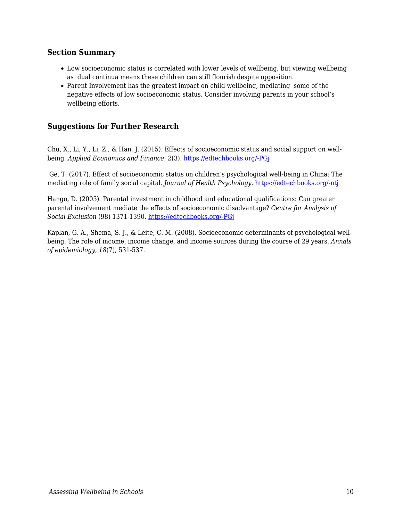#### **Section Summary**

- Low socioeconomic status is correlated with lower levels of wellbeing, but viewing wellbeing as dual continua means these children can still flourish despite opposition.
- Parent Involvement has the greatest impact on child wellbeing, mediating some of the negative effects of low socioeconomic status. Consider involving parents in your school's wellbeing efforts.

### **Suggestions for Further Research**

Chu, X., Li, Y., Li, Z., & Han, J. (2015). Effects of socioeconomic status and social support on wellbeing. *Applied Economics and Finance*, *2*(3). [https://edtechbooks.org/-PGj](https://edtechbooks.org/wellbeing/about:blank)

 Ge, T. (2017). Effect of socioeconomic status on children's psychological well-being in China: The mediating role of family social capital. *Journal of Health Psychology*. [https://edtechbooks.org/-ntj](https://doi.org/10.1177/1359105317750462)

Hango, D. (2005). Parental investment in childhood and educational qualifications: Can greater parental involvement mediate the effects of socioeconomic disadvantage? *Centre for Analysis of Social Exclusion* (98) 1371-1390. [https://edtechbooks.org/-PGj](https://edtechbooks.org/wellbeing/about:blank)

Kaplan, G. A., Shema, S. J., & Leite, C. M. (2008). Socioeconomic determinants of psychological wellbeing: The role of income, income change, and income sources during the course of 29 years. *Annals of epidemiology*, *18*(7), 531-537.